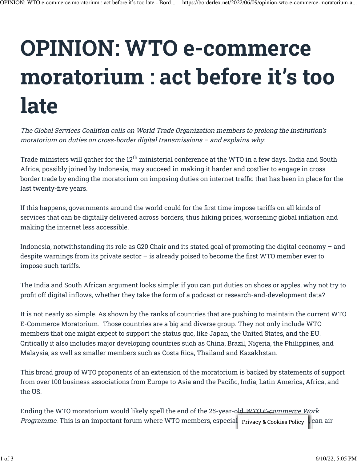## **OPINION: WTO e-commerce moratorium : act before it's too late**

The Global Services Coalition calls on World Trade Organization members to prolong the institution's moratorium on duties on cross-border digital transmissions – and explains why.

Trade ministers will gather for the 12 $^{\rm th}$  ministerial conference at the WTO in a few days. India and South Africa, possibly joined by Indonesia, may succeed in making it harder and costlier to engage in cross border trade by ending the moratorium on imposing duties on internet traffic that has been in place for the last twenty-five years.

If this happens, governments around the world could for the first time impose tariffs on all kinds of services that can be digitally delivered across borders, thus hiking prices, worsening global inflation and making the internet less accessible.

Indonesia, notwithstanding its role as G20 Chair and its stated goal of promoting the digital economy – and despite warnings from its private sector – is already poised to become the first WTO member ever to impose such tariffs.

The India and South African argument looks simple: if you can put duties on shoes or apples, why not try to profit off digital inflows, whether they take the form of a podcast or research-and-development data?

It is not nearly so simple. As shown by the ranks of countries that are pushing to maintain the current WTO E-Commerce Moratorium. Those countries are a big and diverse group. They not only include WTO members that one might expect to support the status quo, like Japan, the United States, and the EU. Critically it also includes major developing countries such as China, Brazil, Nigeria, the Philippines, and Malaysia, as well as smaller members such as Costa Rica, Thailand and Kazakhstan.

This broad group of WTO proponents of an extension of the moratorium is backed by statements of support from over 100 business associations from Europe to Asia and the Pacific, India, Latin America, Africa, and the US.

Ending the WTO moratorium would likely spell the end of the 25-year-old WTO E-commerce Work Programme. This is an important forum where WTO members, especial Privacy & Cookies Policy , can air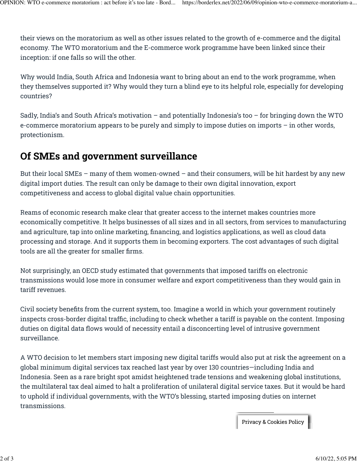their views on the moratorium as well as other issues related to the growth of e-commerce and the digital economy. The WTO moratorium and the E-commerce work programme have been linked since their inception: if one falls so will the other.

Why would India, South Africa and Indonesia want to bring about an end to the work programme, when they themselves supported it? Why would they turn a blind eye to its helpful role, especially for developing countries?

Sadly, India's and South Africa's motivation – and potentially Indonesia's too – for bringing down the WTO e-commerce moratorium appears to be purely and simply to impose duties on imports – in other words, protectionism.

## **Of SMEs and government surveillance**

But their local SMEs – many of them women-owned – and their consumers, will be hit hardest by any new digital import duties. The result can only be damage to their own digital innovation, export competitiveness and access to global digital value chain opportunities.

Reams of economic research make clear that greater access to the internet makes countries more economically competitive. It helps businesses of all sizes and in all sectors, from services to manufacturing and agriculture, tap into online marketing, financing, and logistics applications, as well as cloud data processing and storage. And it supports them in becoming exporters. The cost advantages of such digital tools are all the greater for smaller firms.

Not surprisingly, an OECD study estimated that governments that imposed tariffs on electronic transmissions would lose more in consumer welfare and export competitiveness than they would gain in tariff revenues.

Civil society benefits from the current system, too. Imagine a world in which your government routinely inspects cross-border digital traffic, including to check whether a tariff is payable on the content. Imposing duties on digital data flows would of necessity entail a disconcerting level of intrusive government surveillance.

A WTO decision to let members start imposing new digital tariffs would also put at risk the agreement on a global minimum digital services tax reached last year by over 130 countries—including India and Indonesia. Seen as a rare bright spot amidst heightened trade tensions and weakening global institutions, the multilateral tax deal aimed to halt a proliferation of unilateral digital service taxes. But it would be hard to uphold if individual governments, with the WTO's blessing, started imposing duties on internet transmissions.

Privacy & Cookies Policy